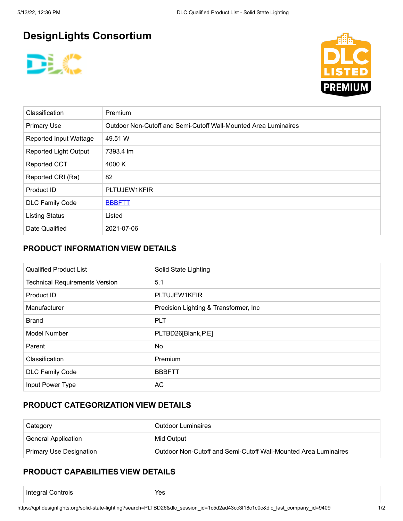# **DesignLights Consortium**





| Classification                | Premium                                                         |  |
|-------------------------------|-----------------------------------------------------------------|--|
| <b>Primary Use</b>            | Outdoor Non-Cutoff and Semi-Cutoff Wall-Mounted Area Luminaires |  |
| <b>Reported Input Wattage</b> | 49.51 W                                                         |  |
| Reported Light Output         | 7393.4 lm                                                       |  |
| <b>Reported CCT</b>           | 4000 K                                                          |  |
| Reported CRI (Ra)             | 82                                                              |  |
| Product ID                    | PLTUJEW1KFIR                                                    |  |
| <b>DLC Family Code</b>        | <b>BBBFTT</b>                                                   |  |
| <b>Listing Status</b>         | Listed                                                          |  |
| Date Qualified                | 2021-07-06                                                      |  |

# **PRODUCT INFORMATION VIEW DETAILS**

| <b>Qualified Product List</b>         | Solid State Lighting                   |
|---------------------------------------|----------------------------------------|
| <b>Technical Requirements Version</b> | 5.1                                    |
| Product ID                            | PLTUJEW1KFIR                           |
| Manufacturer                          | Precision Lighting & Transformer, Inc. |
| <b>Brand</b>                          | <b>PLT</b>                             |
| Model Number                          | PLTBD26[Blank,P,E]                     |
| Parent                                | <b>No</b>                              |
| Classification                        | Premium                                |
| <b>DLC Family Code</b>                | <b>BBBFTT</b>                          |
| Input Power Type                      | AC                                     |

#### **PRODUCT CATEGORIZATION VIEW DETAILS**

| Category                       | <b>Outdoor Luminaires</b>                                       |  |
|--------------------------------|-----------------------------------------------------------------|--|
| <b>General Application</b>     | Mid Output                                                      |  |
| <b>Primary Use Designation</b> | Outdoor Non-Cutoff and Semi-Cutoff Wall-Mounted Area Luminaires |  |

#### **PRODUCT CAPABILITIES VIEW DETAILS**

| $\overline{ }$<br>Controls:<br>эι<br>.<br>$\sim$<br>. . | Yes |
|---------------------------------------------------------|-----|
|                                                         |     |

https://qpl.designlights.org/solid-state-lighting?search=PLTBD26&dlc\_session\_id=1c5d2ad43cc3f18c1c0c&dlc\_last\_company\_id=9409 1/2